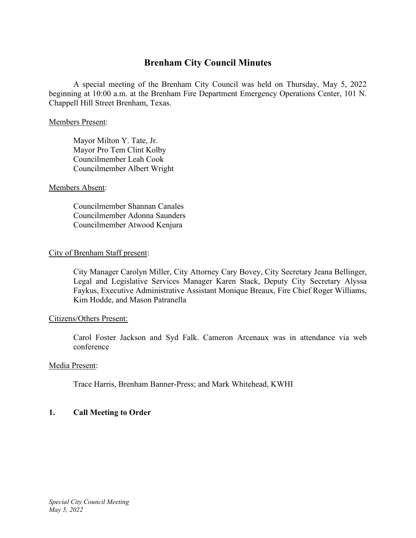# **Brenham City Council Minutes**

A special meeting of the Brenham City Council was held on Thursday, May 5, 2022 beginning at 10:00 a.m. at the Brenham Fire Department Emergency Operations Center, 101 N. Chappell Hill Street Brenham, Texas.

#### Members Present:

Mayor Milton Y. Tate, Jr. Mayor Pro Tem Clint Kolby Councilmember Leah Cook Councilmember Albert Wright

## Members Absent:

Councilmember Shannan Canales Councilmember Adonna Saunders Councilmember Atwood Kenjura

## City of Brenham Staff present:

City Manager Carolyn Miller, City Attorney Cary Bovey, City Secretary Jeana Bellinger, Legal and Legislative Services Manager Karen Stack, Deputy City Secretary Alyssa Faykus, Executive Administrative Assistant Monique Breaux, Fire Chief Roger Williams, Kim Hodde, and Mason Patranella

# Citizens/Others Present:

Carol Foster Jackson and Syd Falk. Cameron Arcenaux was in attendance via web conference

# Media Present:

Trace Harris, Brenham Banner-Press; and Mark Whitehead, KWHI

# **1. Call Meeting to Order**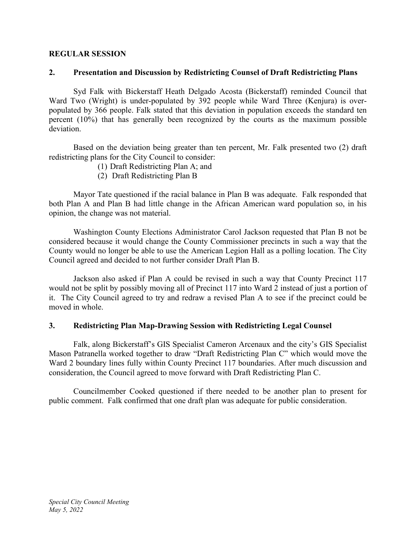## **REGULAR SESSION**

## **2. Presentation and Discussion by Redistricting Counsel of Draft Redistricting Plans**

Syd Falk with Bickerstaff Heath Delgado Acosta (Bickerstaff) reminded Council that Ward Two (Wright) is under-populated by 392 people while Ward Three (Kenjura) is overpopulated by 366 people. Falk stated that this deviation in population exceeds the standard ten percent (10%) that has generally been recognized by the courts as the maximum possible deviation.

Based on the deviation being greater than ten percent, Mr. Falk presented two (2) draft redistricting plans for the City Council to consider:

- (1) Draft Redistricting Plan A; and
- (2) Draft Redistricting Plan B

Mayor Tate questioned if the racial balance in Plan B was adequate. Falk responded that both Plan A and Plan B had little change in the African American ward population so, in his opinion, the change was not material.

Washington County Elections Administrator Carol Jackson requested that Plan B not be considered because it would change the County Commissioner precincts in such a way that the County would no longer be able to use the American Legion Hall as a polling location. The City Council agreed and decided to not further consider Draft Plan B.

Jackson also asked if Plan A could be revised in such a way that County Precinct 117 would not be split by possibly moving all of Precinct 117 into Ward 2 instead of just a portion of it. The City Council agreed to try and redraw a revised Plan A to see if the precinct could be moved in whole.

#### **3. Redistricting Plan Map-Drawing Session with Redistricting Legal Counsel**

Falk, along Bickerstaff's GIS Specialist Cameron Arcenaux and the city's GIS Specialist Mason Patranella worked together to draw "Draft Redistricting Plan C" which would move the Ward 2 boundary lines fully within County Precinct 117 boundaries. After much discussion and consideration, the Council agreed to move forward with Draft Redistricting Plan C.

Councilmember Cooked questioned if there needed to be another plan to present for public comment. Falk confirmed that one draft plan was adequate for public consideration.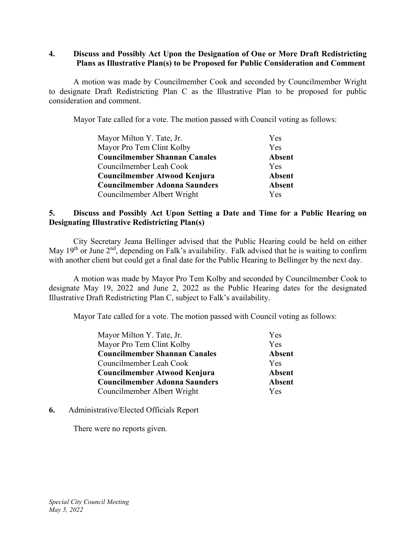#### **4. Discuss and Possibly Act Upon the Designation of One or More Draft Redistricting Plans as Illustrative Plan(s) to be Proposed for Public Consideration and Comment**

A motion was made by Councilmember Cook and seconded by Councilmember Wright to designate Draft Redistricting Plan C as the Illustrative Plan to be proposed for public consideration and comment.

Mayor Tate called for a vote. The motion passed with Council voting as follows:

| Mayor Milton Y. Tate, Jr.            | Yes           |
|--------------------------------------|---------------|
| Mayor Pro Tem Clint Kolby            | <b>Yes</b>    |
| <b>Councilmember Shannan Canales</b> | <b>Absent</b> |
| Councilmember Leah Cook              | <b>Yes</b>    |
| Councilmember Atwood Kenjura         | <b>Absent</b> |
| <b>Councilmember Adonna Saunders</b> | <b>Absent</b> |
| Councilmember Albert Wright          | <b>Yes</b>    |

## **5. Discuss and Possibly Act Upon Setting a Date and Time for a Public Hearing on Designating Illustrative Redistricting Plan(s)**

City Secretary Jeana Bellinger advised that the Public Hearing could be held on either May  $19<sup>th</sup>$  or June  $2<sup>nd</sup>$ , depending on Falk's availability. Falk advised that he is waiting to confirm with another client but could get a final date for the Public Hearing to Bellinger by the next day.

A motion was made by Mayor Pro Tem Kolby and seconded by Councilmember Cook to designate May 19, 2022 and June 2, 2022 as the Public Hearing dates for the designated Illustrative Draft Redistricting Plan C, subject to Falk's availability.

Mayor Tate called for a vote. The motion passed with Council voting as follows:

| Mayor Milton Y. Tate, Jr.            | Yes           |
|--------------------------------------|---------------|
| Mayor Pro Tem Clint Kolby            | Yes           |
| <b>Councilmember Shannan Canales</b> | <b>Absent</b> |
| Councilmember Leah Cook              | Yes           |
| Councilmember Atwood Kenjura         | <b>Absent</b> |
| <b>Councilmember Adonna Saunders</b> | <b>Absent</b> |
| Councilmember Albert Wright          | Yes           |

#### **6.** Administrative/Elected Officials Report

There were no reports given.